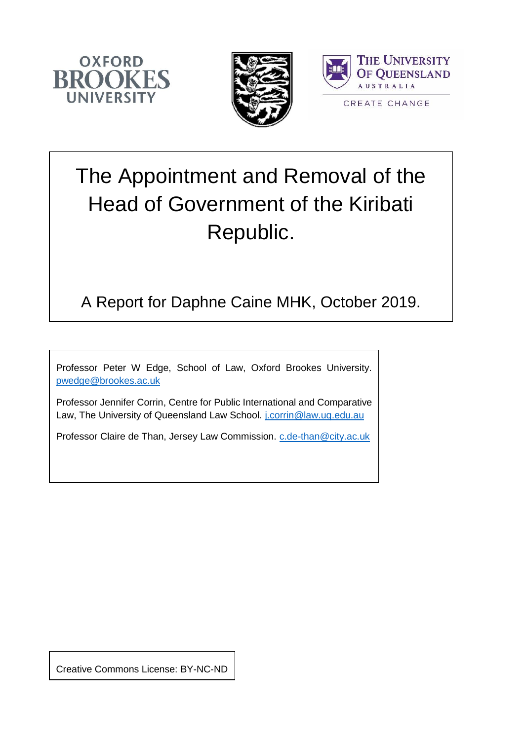





# The Appointment and Removal of the Head of Government of the Kiribati Republic.

### A Report for Daphne Caine MHK, October 2019.

Professor Peter W Edge, School of Law, Oxford Brookes University. [pwedge@brookes.ac.uk](mailto:pwedge@brookes.ac.uk)

Professor Jennifer Corrin, Centre for Public International and Comparative Law, The University of Queensland Law School. [j.corrin@law.uq.edu.au](mailto:j.corrin@law.uq.edu.au)

Professor Claire de Than, Jersey Law Commission. c.de-than@city.ac.uk

Creative Commons License: BY-NC-ND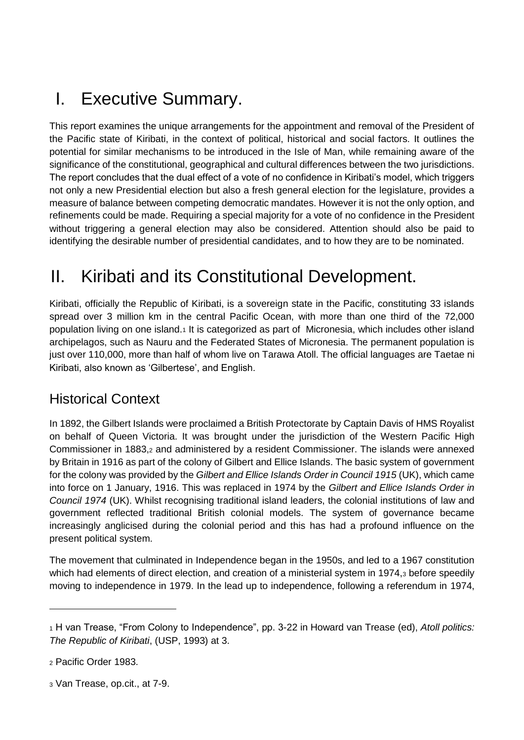# I. Executive Summary.

This report examines the unique arrangements for the appointment and removal of the President of the Pacific state of Kiribati, in the context of political, historical and social factors. It outlines the potential for similar mechanisms to be introduced in the Isle of Man, while remaining aware of the significance of the constitutional, geographical and cultural differences between the two jurisdictions. The report concludes that the dual effect of a vote of no confidence in Kiribati's model, which triggers not only a new Presidential election but also a fresh general election for the legislature, provides a measure of balance between competing democratic mandates. However it is not the only option, and refinements could be made. Requiring a special majority for a vote of no confidence in the President without triggering a general election may also be considered. Attention should also be paid to identifying the desirable number of presidential candidates, and to how they are to be nominated.

# II. Kiribati and its Constitutional Development.

Kiribati, officially the Republic of Kiribati, is a sovereign state in the Pacific, constituting 33 islands spread over 3 million km in the central Pacific Ocean, with more than one third of the 72,000 population living on one island.<sup>1</sup> It is categorized as part of Micronesia, which includes other island archipelagos, such as Nauru and the Federated States of Micronesia. The permanent population is just over 110,000, more than half of whom live on Tarawa Atoll. The official languages are Taetae ni Kiribati, also known as 'Gilbertese', and English.

#### Historical Context

In 1892, the Gilbert Islands were proclaimed a British Protectorate by Captain Davis of HMS Royalist on behalf of Queen Victoria. It was brought under the jurisdiction of the Western Pacific High Commissioner in 1883,<sup>2</sup> and administered by a resident Commissioner. The islands were annexed by Britain in 1916 as part of the colony of Gilbert and Ellice Islands. The basic system of government for the colony was provided by the *Gilbert and Ellice Islands Order in Council 1915* (UK), which came into force on 1 January, 1916. This was replaced in 1974 by the *Gilbert and Ellice Islands Order in Council 1974* (UK). Whilst recognising traditional island leaders, the colonial institutions of law and government reflected traditional British colonial models. The system of governance became increasingly anglicised during the colonial period and this has had a profound influence on the present political system.

The movement that culminated in Independence began in the 1950s, and led to a 1967 constitution which had elements of direct election, and creation of a ministerial system in 1974,3 before speedily moving to independence in 1979. In the lead up to independence, following a referendum in 1974,

 $\overline{a}$ 

<sup>3</sup> Van Trease, op.cit., at 7-9.

<sup>1</sup> H van Trease, "From Colony to Independence", pp. 3-22 in Howard van Trease (ed), *Atoll politics: The Republic of Kiribati*, (USP, 1993) at 3.

<sup>2</sup> Pacific Order 1983.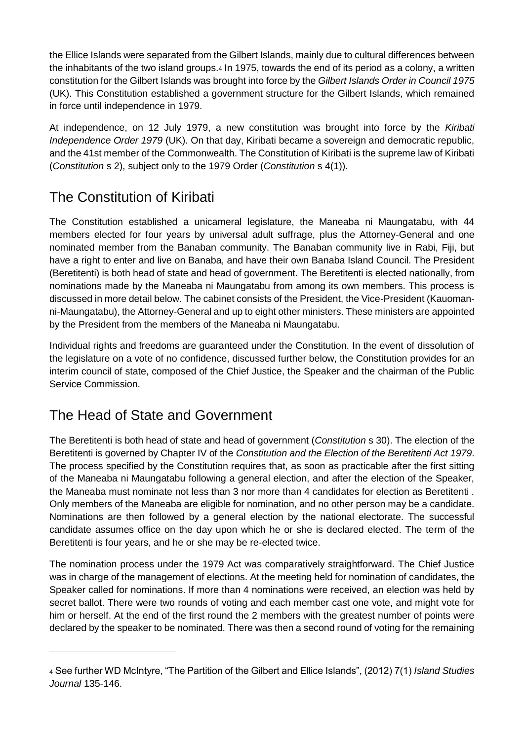the Ellice Islands were separated from the Gilbert Islands, mainly due to cultural differences between the inhabitants of the two island groups.<sup>4</sup> In 1975, towards the end of its period as a colony, a written constitution for the Gilbert Islands was brought into force by the *Gilbert Islands Order in Council 1975*  (UK). This Constitution established a government structure for the Gilbert Islands, which remained in force until independence in 1979.

At independence, on 12 July 1979, a new constitution was brought into force by the *Kiribati Independence Order 1979* (UK). On that day, Kiribati became a sovereign and democratic republic, and the 41st member of the Commonwealth. The Constitution of Kiribati is the supreme law of Kiribati (*Constitution* s 2), subject only to the 1979 Order (*Constitution* s 4(1)).

#### The Constitution of Kiribati

The Constitution established a unicameral legislature, the Maneaba ni Maungatabu, with 44 members elected for four years by universal adult suffrage, plus the Attorney-General and one nominated member from the Banaban community. The Banaban community live in Rabi, Fiji, but have a right to enter and live on Banaba, and have their own Banaba Island Council. The President (Beretitenti) is both head of state and head of government. The Beretitenti is elected nationally, from nominations made by the Maneaba ni Maungatabu from among its own members. This process is discussed in more detail below. The cabinet consists of the President, the Vice-President (Kauomanni-Maungatabu), the Attorney-General and up to eight other ministers. These ministers are appointed by the President from the members of the Maneaba ni Maungatabu.

Individual rights and freedoms are guaranteed under the Constitution. In the event of dissolution of the legislature on a vote of no confidence, discussed further below, the Constitution provides for an interim council of state, composed of the Chief Justice, the Speaker and the chairman of the Public Service Commission.

#### The Head of State and Government

 $\overline{a}$ 

The Beretitenti is both head of state and head of government (*Constitution* s 30). The election of the Beretitenti is governed by Chapter IV of the *Constitution and the Election of the Beretitenti Act 1979*. The process specified by the Constitution requires that, as soon as practicable after the first sitting of the Maneaba ni Maungatabu following a general election, and after the election of the Speaker, the Maneaba must nominate not less than 3 nor more than 4 candidates for election as Beretitenti . Only members of the Maneaba are eligible for nomination, and no other person may be a candidate. Nominations are then followed by a general election by the national electorate. The successful candidate assumes office on the day upon which he or she is declared elected. The term of the Beretitenti is four years, and he or she may be re-elected twice.

The nomination process under the 1979 Act was comparatively straightforward. The Chief Justice was in charge of the management of elections. At the meeting held for nomination of candidates, the Speaker called for nominations. If more than 4 nominations were received, an election was held by secret ballot. There were two rounds of voting and each member cast one vote, and might vote for him or herself. At the end of the first round the 2 members with the greatest number of points were declared by the speaker to be nominated. There was then a second round of voting for the remaining

<sup>4</sup> See further WD McIntyre, "The Partition of the Gilbert and Ellice Islands", (2012) 7(1) *Island Studies Journal* 135-146.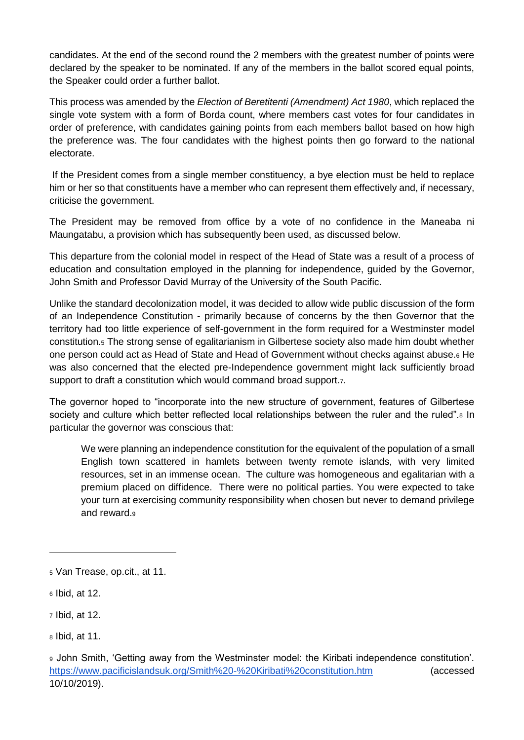candidates. At the end of the second round the 2 members with the greatest number of points were declared by the speaker to be nominated. If any of the members in the ballot scored equal points, the Speaker could order a further ballot.

This process was amended by the *Election of Beretitenti (Amendment) Act 1980*, which replaced the single vote system with a form of Borda count, where members cast votes for four candidates in order of preference, with candidates gaining points from each members ballot based on how high the preference was. The four candidates with the highest points then go forward to the national electorate.

If the President comes from a single member constituency, a bye election must be held to replace him or her so that constituents have a member who can represent them effectively and, if necessary, criticise the government.

The President may be removed from office by a vote of no confidence in the Maneaba ni Maungatabu, a provision which has subsequently been used, as discussed below.

This departure from the colonial model in respect of the Head of State was a result of a process of education and consultation employed in the planning for independence, guided by the Governor, John Smith and Professor David Murray of the University of the South Pacific.

Unlike the standard decolonization model, it was decided to allow wide public discussion of the form of an Independence Constitution - primarily because of concerns by the then Governor that the territory had too little experience of self-government in the form required for a Westminster model constitution.<sup>5</sup> The strong sense of egalitarianism in Gilbertese society also made him doubt whether one person could act as Head of State and Head of Government without checks against abuse.<sup>6</sup> He was also concerned that the elected pre-Independence government might lack sufficiently broad support to draft a constitution which would command broad support. $7.$ 

The governor hoped to "incorporate into the new structure of government, features of Gilbertese society and culture which better reflected local relationships between the ruler and the ruled".<sup>8</sup> In particular the governor was conscious that:

We were planning an independence constitution for the equivalent of the population of a small English town scattered in hamlets between twenty remote islands, with very limited resources, set in an immense ocean. The culture was homogeneous and egalitarian with a premium placed on diffidence. There were no political parties. You were expected to take your turn at exercising community responsibility when chosen but never to demand privilege and reward.9

 $\overline{a}$ 

<sup>5</sup> Van Trease, op.cit., at 11.

<sup>6</sup> Ibid, at 12.

<sup>7</sup> Ibid, at 12.

<sup>8</sup> Ibid, at 11.

<sup>9</sup> John Smith, 'Getting away from the Westminster model: the Kiribati independence constitution'. <https://www.pacificislandsuk.org/Smith%20-%20Kiribati%20constitution.htm> (accessed 10/10/2019).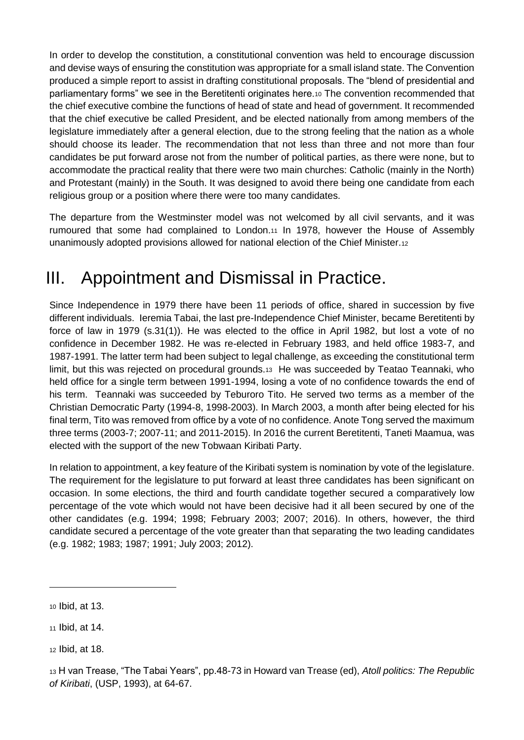In order to develop the constitution, a constitutional convention was held to encourage discussion and devise ways of ensuring the constitution was appropriate for a small island state. The Convention produced a simple report to assist in drafting constitutional proposals. The "blend of presidential and parliamentary forms" we see in the Beretitenti originates here.<sup>10</sup> The convention recommended that the chief executive combine the functions of head of state and head of government. It recommended that the chief executive be called President, and be elected nationally from among members of the legislature immediately after a general election, due to the strong feeling that the nation as a whole should choose its leader. The recommendation that not less than three and not more than four candidates be put forward arose not from the number of political parties, as there were none, but to accommodate the practical reality that there were two main churches: Catholic (mainly in the North) and Protestant (mainly) in the South. It was designed to avoid there being one candidate from each religious group or a position where there were too many candidates.

The departure from the Westminster model was not welcomed by all civil servants, and it was rumoured that some had complained to London.<sup>11</sup> In 1978, however the House of Assembly unanimously adopted provisions allowed for national election of the Chief Minister.<sup>12</sup>

# III. Appointment and Dismissal in Practice.

Since Independence in 1979 there have been 11 periods of office, shared in succession by five different individuals. Ieremia Tabai, the last pre-Independence Chief Minister, became Beretitenti by force of law in 1979 (s.31(1)). He was elected to the office in April 1982, but lost a vote of no confidence in December 1982. He was re-elected in February 1983, and held office 1983-7, and 1987-1991. The latter term had been subject to legal challenge, as exceeding the constitutional term limit, but this was rejected on procedural grounds.13 He was succeeded by Teatao Teannaki, who held office for a single term between 1991-1994, losing a vote of no confidence towards the end of his term. Teannaki was succeeded by Teburoro Tito. He served two terms as a member of the Christian Democratic Party (1994-8, 1998-2003). In March 2003, a month after being elected for his final term, Tito was removed from office by a vote of no confidence. Anote Tong served the maximum three terms (2003-7; 2007-11; and 2011-2015). In 2016 the current Beretitenti, Taneti Maamua, was elected with the support of the new Tobwaan Kiribati Party.

In relation to appointment, a key feature of the Kiribati system is nomination by vote of the legislature. The requirement for the legislature to put forward at least three candidates has been significant on occasion. In some elections, the third and fourth candidate together secured a comparatively low percentage of the vote which would not have been decisive had it all been secured by one of the other candidates (e.g. 1994; 1998; February 2003; 2007; 2016). In others, however, the third candidate secured a percentage of the vote greater than that separating the two leading candidates (e.g. 1982; 1983; 1987; 1991; July 2003; 2012).

<sup>10</sup> Ibid, at 13.

<sup>11</sup> Ibid, at 14.

<sup>12</sup> Ibid, at 18.

<sup>13</sup> H van Trease, "The Tabai Years", pp.48-73 in Howard van Trease (ed), *Atoll politics: The Republic of Kiribati*, (USP, 1993), at 64-67.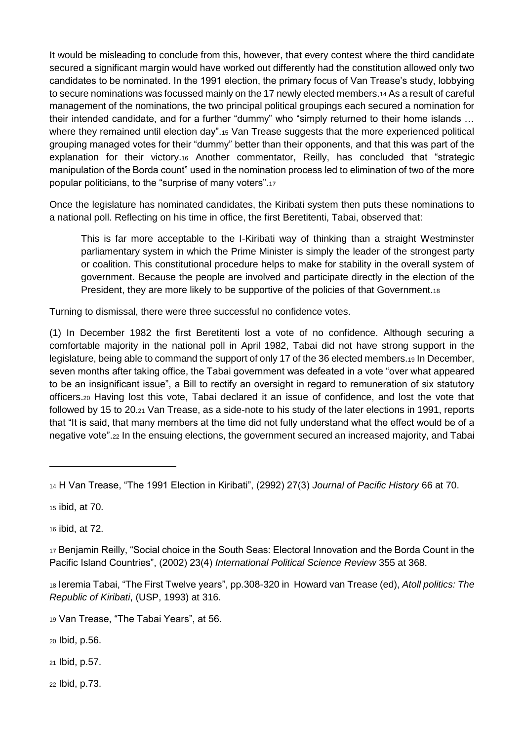It would be misleading to conclude from this, however, that every contest where the third candidate secured a significant margin would have worked out differently had the constitution allowed only two candidates to be nominated. In the 1991 election, the primary focus of Van Trease's study, lobbying to secure nominations was focussed mainly on the 17 newly elected members.<sup>14</sup> As a result of careful management of the nominations, the two principal political groupings each secured a nomination for their intended candidate, and for a further "dummy" who "simply returned to their home islands … where they remained until election day".<sup>15</sup> Van Trease suggests that the more experienced political grouping managed votes for their "dummy" better than their opponents, and that this was part of the explanation for their victory.<sup>16</sup> Another commentator, Reilly, has concluded that "strategic manipulation of the Borda count" used in the nomination process led to elimination of two of the more popular politicians, to the "surprise of many voters".<sup>17</sup>

Once the legislature has nominated candidates, the Kiribati system then puts these nominations to a national poll. Reflecting on his time in office, the first Beretitenti, Tabai, observed that:

This is far more acceptable to the I-Kiribati way of thinking than a straight Westminster parliamentary system in which the Prime Minister is simply the leader of the strongest party or coalition. This constitutional procedure helps to make for stability in the overall system of government. Because the people are involved and participate directly in the election of the President, they are more likely to be supportive of the policies of that Government.18

Turning to dismissal, there were three successful no confidence votes.

(1) In December 1982 the first Beretitenti lost a vote of no confidence. Although securing a comfortable majority in the national poll in April 1982, Tabai did not have strong support in the legislature, being able to command the support of only 17 of the 36 elected members.<sup>19</sup> In December, seven months after taking office, the Tabai government was defeated in a vote "over what appeared to be an insignificant issue", a Bill to rectify an oversight in regard to remuneration of six statutory officers.<sup>20</sup> Having lost this vote, Tabai declared it an issue of confidence, and lost the vote that followed by 15 to 20.<sup>21</sup> Van Trease, as a side-note to his study of the later elections in 1991, reports that "It is said, that many members at the time did not fully understand what the effect would be of a negative vote".<sup>22</sup> In the ensuing elections, the government secured an increased majority, and Tabai

<sup>15</sup> ibid, at 70.

 $\overline{a}$ 

<sup>16</sup> ibid, at 72.

<sup>17</sup> Benjamin Reilly, "Social choice in the South Seas: Electoral Innovation and the Borda Count in the Pacific Island Countries", (2002) 23(4) *International Political Science Review* 355 at 368.

<sup>18</sup> Ieremia Tabai, "The First Twelve years", pp.308-320 in Howard van Trease (ed), *Atoll politics: The Republic of Kiribati*, (USP, 1993) at 316.

<sup>19</sup> Van Trease, "The Tabai Years", at 56.

<sup>20</sup> Ibid, p.56.

<sup>21</sup> Ibid, p.57.

<sup>22</sup> Ibid, p.73.

<sup>14</sup> H Van Trease, "The 1991 Election in Kiribati", (2992) 27(3) *Journal of Pacific History* 66 at 70.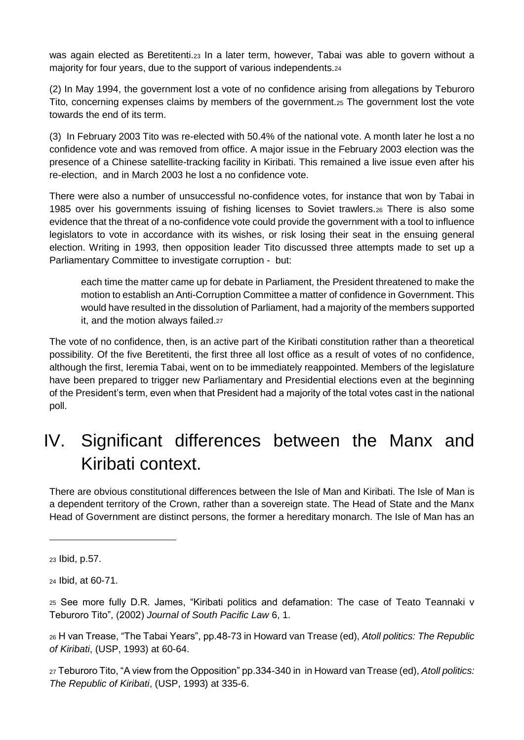was again elected as Beretitenti.<sup>23</sup> In a later term, however, Tabai was able to govern without a majority for four years, due to the support of various independents.<sup>24</sup>

(2) In May 1994, the government lost a vote of no confidence arising from allegations by Teburoro Tito, concerning expenses claims by members of the government.<sup>25</sup> The government lost the vote towards the end of its term.

(3) In February 2003 Tito was re-elected with 50.4% of the national vote. A month later he lost a no confidence vote and was removed from office. A major issue in the February 2003 election was the presence of a Chinese satellite-tracking facility in Kiribati. This remained a live issue even after his re-election, and in March 2003 he lost a no confidence vote.

There were also a number of unsuccessful no-confidence votes, for instance that won by Tabai in 1985 over his governments issuing of fishing licenses to Soviet trawlers.<sup>26</sup> There is also some evidence that the threat of a no-confidence vote could provide the government with a tool to influence legislators to vote in accordance with its wishes, or risk losing their seat in the ensuing general election. Writing in 1993, then opposition leader Tito discussed three attempts made to set up a Parliamentary Committee to investigate corruption - but:

each time the matter came up for debate in Parliament, the President threatened to make the motion to establish an Anti-Corruption Committee a matter of confidence in Government. This would have resulted in the dissolution of Parliament, had a majority of the members supported it, and the motion always failed.27

The vote of no confidence, then, is an active part of the Kiribati constitution rather than a theoretical possibility. Of the five Beretitenti, the first three all lost office as a result of votes of no confidence, although the first, Ieremia Tabai, went on to be immediately reappointed. Members of the legislature have been prepared to trigger new Parliamentary and Presidential elections even at the beginning of the President's term, even when that President had a majority of the total votes cast in the national poll.

## IV. Significant differences between the Manx and Kiribati context.

There are obvious constitutional differences between the Isle of Man and Kiribati. The Isle of Man is a dependent territory of the Crown, rather than a sovereign state. The Head of State and the Manx Head of Government are distinct persons, the former a hereditary monarch. The Isle of Man has an

<sup>24</sup> Ibid, at 60-71.

<sup>23</sup> Ibid, p.57.

<sup>25</sup> See more fully D.R. James, "Kiribati politics and defamation: The case of Teato Teannaki v Teburoro Tito", (2002) *Journal of South Pacific Law* 6, 1.

<sup>26</sup> H van Trease, "The Tabai Years", pp.48-73 in Howard van Trease (ed), *Atoll politics: The Republic of Kiribati*, (USP, 1993) at 60-64.

<sup>27</sup> Teburoro Tito, "A view from the Opposition" pp.334-340 in in Howard van Trease (ed), *Atoll politics: The Republic of Kiribati*, (USP, 1993) at 335-6.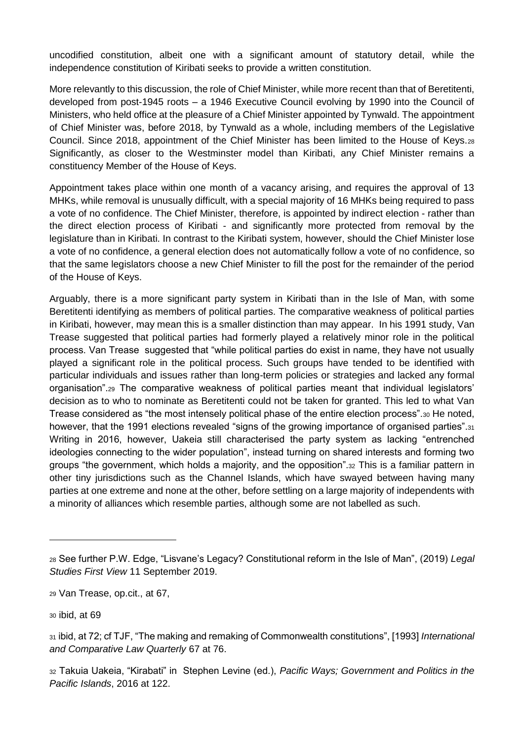uncodified constitution, albeit one with a significant amount of statutory detail, while the independence constitution of Kiribati seeks to provide a written constitution.

More relevantly to this discussion, the role of Chief Minister, while more recent than that of Beretitenti, developed from post-1945 roots – a 1946 Executive Council evolving by 1990 into the Council of Ministers, who held office at the pleasure of a Chief Minister appointed by Tynwald. The appointment of Chief Minister was, before 2018, by Tynwald as a whole, including members of the Legislative Council. Since 2018, appointment of the Chief Minister has been limited to the House of Keys.<sup>28</sup> Significantly, as closer to the Westminster model than Kiribati, any Chief Minister remains a constituency Member of the House of Keys.

Appointment takes place within one month of a vacancy arising, and requires the approval of 13 MHKs, while removal is unusually difficult, with a special majority of 16 MHKs being required to pass a vote of no confidence. The Chief Minister, therefore, is appointed by indirect election - rather than the direct election process of Kiribati - and significantly more protected from removal by the legislature than in Kiribati. In contrast to the Kiribati system, however, should the Chief Minister lose a vote of no confidence, a general election does not automatically follow a vote of no confidence, so that the same legislators choose a new Chief Minister to fill the post for the remainder of the period of the House of Keys.

Arguably, there is a more significant party system in Kiribati than in the Isle of Man, with some Beretitenti identifying as members of political parties. The comparative weakness of political parties in Kiribati, however, may mean this is a smaller distinction than may appear. In his 1991 study, Van Trease suggested that political parties had formerly played a relatively minor role in the political process. Van Trease suggested that "while political parties do exist in name, they have not usually played a significant role in the political process. Such groups have tended to be identified with particular individuals and issues rather than long-term policies or strategies and lacked any formal organisation".<sup>29</sup> The comparative weakness of political parties meant that individual legislators' decision as to who to nominate as Beretitenti could not be taken for granted. This led to what Van Trease considered as "the most intensely political phase of the entire election process".<sup>30</sup> He noted, however, that the 1991 elections revealed "signs of the growing importance of organised parties".31 Writing in 2016, however, Uakeia still characterised the party system as lacking "entrenched ideologies connecting to the wider population", instead turning on shared interests and forming two groups "the government, which holds a majority, and the opposition".<sup>32</sup> This is a familiar pattern in other tiny jurisdictions such as the Channel Islands, which have swayed between having many parties at one extreme and none at the other, before settling on a large majority of independents with a minority of alliances which resemble parties, although some are not labelled as such.

<sup>30</sup> ibid, at 69

<sup>28</sup> See further P.W. Edge, "Lisvane's Legacy? Constitutional reform in the Isle of Man", (2019) *Legal Studies First View* 11 September 2019.

<sup>29</sup> Van Trease, op.cit., at 67,

<sup>31</sup> ibid, at 72; cf TJF, "The making and remaking of Commonwealth constitutions", [1993] *International and Comparative Law Quarterly* 67 at 76.

<sup>32</sup> Takuia Uakeia, "Kirabati" in Stephen Levine (ed.), *Pacific Ways; Government and Politics in the Pacific Islands*, 2016 at 122.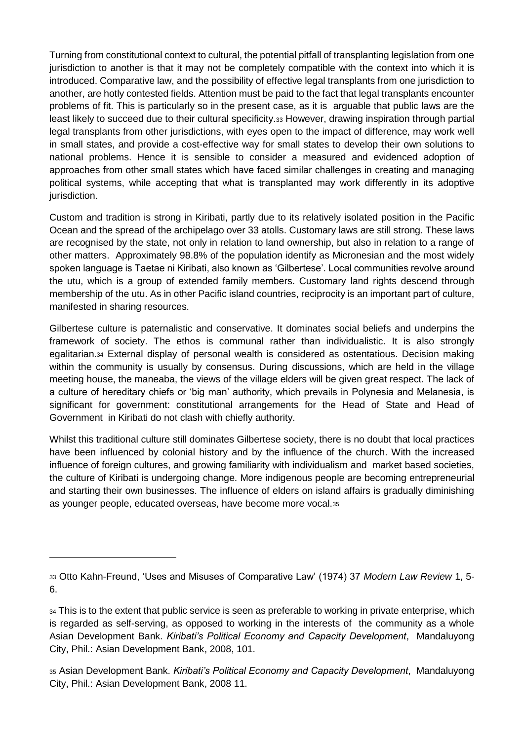Turning from constitutional context to cultural, the potential pitfall of transplanting legislation from one jurisdiction to another is that it may not be completely compatible with the context into which it is introduced. Comparative law, and the possibility of effective legal transplants from one jurisdiction to another, are hotly contested fields. Attention must be paid to the fact that legal transplants encounter problems of fit. This is particularly so in the present case, as it is arguable that public laws are the least likely to succeed due to their cultural specificity.<sup>33</sup> However, drawing inspiration through partial legal transplants from other jurisdictions, with eyes open to the impact of difference, may work well in small states, and provide a cost-effective way for small states to develop their own solutions to national problems. Hence it is sensible to consider a measured and evidenced adoption of approaches from other small states which have faced similar challenges in creating and managing political systems, while accepting that what is transplanted may work differently in its adoptive jurisdiction.

Custom and tradition is strong in Kiribati, partly due to its relatively isolated position in the Pacific Ocean and the spread of the archipelago over 33 atolls. Customary laws are still strong. These laws are recognised by the state, not only in relation to land ownership, but also in relation to a range of other matters. Approximately 98.8% of the population identify as Micronesian and the most widely spoken language is Taetae ni Kiribati, also known as 'Gilbertese'. Local communities revolve around the utu, which is a group of extended family members. Customary land rights descend through membership of the utu. As in other Pacific island countries, reciprocity is an important part of culture, manifested in sharing resources.

Gilbertese culture is paternalistic and conservative. It dominates social beliefs and underpins the framework of society. The ethos is communal rather than individualistic. It is also strongly egalitarian.<sup>34</sup> External display of personal wealth is considered as ostentatious. Decision making within the community is usually by consensus. During discussions, which are held in the village meeting house, the maneaba, the views of the village elders will be given great respect. The lack of a culture of hereditary chiefs or 'big man' authority, which prevails in Polynesia and Melanesia, is significant for government: constitutional arrangements for the Head of State and Head of Government in Kiribati do not clash with chiefly authority.

Whilst this traditional culture still dominates Gilbertese society, there is no doubt that local practices have been influenced by colonial history and by the influence of the church. With the increased influence of foreign cultures, and growing familiarity with individualism and market based societies, the culture of Kiribati is undergoing change. More indigenous people are becoming entrepreneurial and starting their own businesses. The influence of elders on island affairs is gradually diminishing as younger people, educated overseas, have become more vocal.<sup>35</sup>

 $\overline{a}$ 

<sup>33</sup> Otto Kahn-Freund, 'Uses and Misuses of Comparative Law' (1974) 37 *Modern Law Review* 1, 5- 6.

 $34$  This is to the extent that public service is seen as preferable to working in private enterprise, which is regarded as self-serving, as opposed to working in the interests of the community as a whole Asian Development Bank. *Kiribati's Political Economy and Capacity Development*, Mandaluyong City, Phil.: Asian Development Bank, 2008, 101.

<sup>35</sup> Asian Development Bank. *Kiribati's Political Economy and Capacity Development*, Mandaluyong City, Phil.: Asian Development Bank, 2008 11.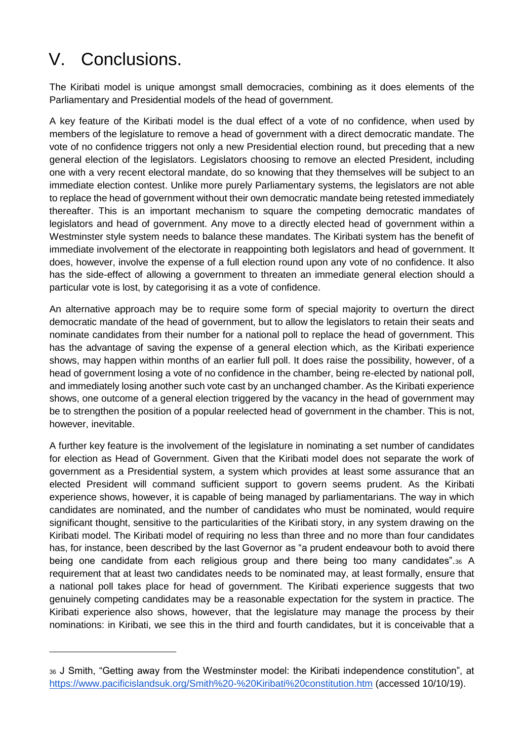# V. Conclusions.

 $\overline{a}$ 

The Kiribati model is unique amongst small democracies, combining as it does elements of the Parliamentary and Presidential models of the head of government.

A key feature of the Kiribati model is the dual effect of a vote of no confidence, when used by members of the legislature to remove a head of government with a direct democratic mandate. The vote of no confidence triggers not only a new Presidential election round, but preceding that a new general election of the legislators. Legislators choosing to remove an elected President, including one with a very recent electoral mandate, do so knowing that they themselves will be subject to an immediate election contest. Unlike more purely Parliamentary systems, the legislators are not able to replace the head of government without their own democratic mandate being retested immediately thereafter. This is an important mechanism to square the competing democratic mandates of legislators and head of government. Any move to a directly elected head of government within a Westminster style system needs to balance these mandates. The Kiribati system has the benefit of immediate involvement of the electorate in reappointing both legislators and head of government. It does, however, involve the expense of a full election round upon any vote of no confidence. It also has the side-effect of allowing a government to threaten an immediate general election should a particular vote is lost, by categorising it as a vote of confidence.

An alternative approach may be to require some form of special majority to overturn the direct democratic mandate of the head of government, but to allow the legislators to retain their seats and nominate candidates from their number for a national poll to replace the head of government. This has the advantage of saving the expense of a general election which, as the Kiribati experience shows, may happen within months of an earlier full poll. It does raise the possibility, however, of a head of government losing a vote of no confidence in the chamber, being re-elected by national poll, and immediately losing another such vote cast by an unchanged chamber. As the Kiribati experience shows, one outcome of a general election triggered by the vacancy in the head of government may be to strengthen the position of a popular reelected head of government in the chamber. This is not, however, inevitable.

A further key feature is the involvement of the legislature in nominating a set number of candidates for election as Head of Government. Given that the Kiribati model does not separate the work of government as a Presidential system, a system which provides at least some assurance that an elected President will command sufficient support to govern seems prudent. As the Kiribati experience shows, however, it is capable of being managed by parliamentarians. The way in which candidates are nominated, and the number of candidates who must be nominated, would require significant thought, sensitive to the particularities of the Kiribati story, in any system drawing on the Kiribati model. The Kiribati model of requiring no less than three and no more than four candidates has, for instance, been described by the last Governor as "a prudent endeavour both to avoid there being one candidate from each religious group and there being too many candidates".<sup>36</sup> A requirement that at least two candidates needs to be nominated may, at least formally, ensure that a national poll takes place for head of government. The Kiribati experience suggests that two genuinely competing candidates may be a reasonable expectation for the system in practice. The Kiribati experience also shows, however, that the legislature may manage the process by their nominations: in Kiribati, we see this in the third and fourth candidates, but it is conceivable that a

<sup>36</sup> J Smith, "Getting away from the Westminster model: the Kiribati independence constitution", at <https://www.pacificislandsuk.org/Smith%20-%20Kiribati%20constitution.htm> (accessed 10/10/19).